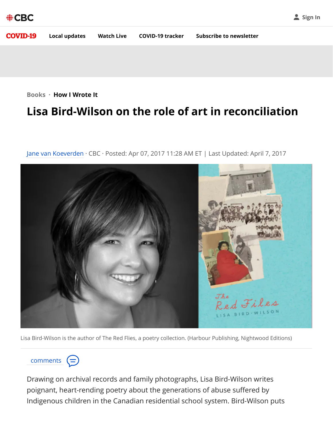

**[Books](https://www.cbc.ca/books) · How I Wrote It**

## **Lisa Bird-Wilson on the role of art in reconciliation**

[Jane van Koeverden](https://www.cbc.ca/books/author/jane-van-koeverden-1.4653760) · CBC · Posted: Apr 07, 2017 11:28 AM ET | Last Updated: April 7, 2017



Lisa Bird-Wilson is the author of The Red Flies, a poetry collection. (Harbour Publishing, Nightwood Editions)

comments  $(=)$ 

Drawing on archival records and family photographs, Lisa Bird-Wilson writes poignant, heart-rending poetry about the generations of abuse suffered by Indigenous children in the Canadian residential school system. Bird-Wilson puts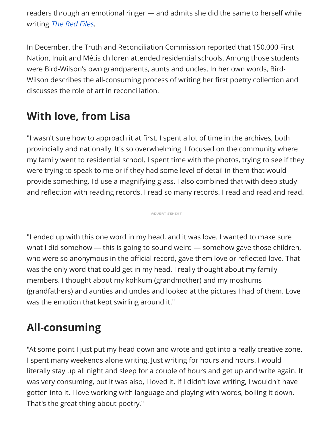readers through an emotional ringer — and admits she did the same to herself while writing [The Red Files](http://feed.cbc.ca/books/the-red-files-1.4017417).

In December, the Truth and Reconciliation Commission reported that 150,000 First Nation, Inuit and Métis children attended residential schools. Among those students were Bird-Wilson's own grandparents, aunts and uncles. In her own words, Bird-Wilson describes the all-consuming process of writing her first poetry collection and discusses the role of art in reconciliation.

# **With love, from Lisa**

"I wasn't sure how to approach it at first. I spent a lot of time in the archives, both provincially and nationally. It's so overwhelming. I focused on the community where my family went to residential school. I spent time with the photos, trying to see if they were trying to speak to me or if they had some level of detail in them that would provide something. I'd use a magnifying glass. I also combined that with deep study and reflection with reading records. I read so many records. I read and read and read.

**ADVERTISEMENT** 

"I ended up with this one word in my head, and it was love. I wanted to make sure what I did somehow — this is going to sound weird — somehow gave those children, who were so anonymous in the official record, gave them love or reflected love. That was the only word that could get in my head. I really thought about my family members. I thought about my kohkum (grandmother) and my moshums (grandfathers) and aunties and uncles and looked at the pictures I had of them. Love was the emotion that kept swirling around it."

# **All-consuming**

"At some point I just put my head down and wrote and got into a really creative zone. I spent many weekends alone writing. Just writing for hours and hours. I would literally stay up all night and sleep for a couple of hours and get up and write again. It was very consuming, but it was also, I loved it. If I didn't love writing, I wouldn't have gotten into it. I love working with language and playing with words, boiling it down. That's the great thing about poetry."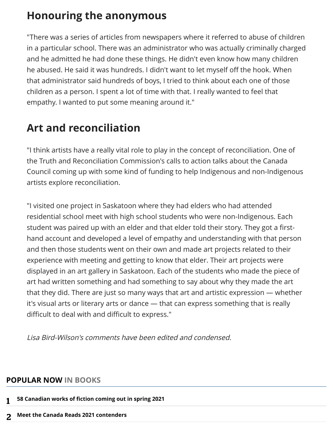## **Honouring the anonymous**

"There was a series of articles from newspapers where it referred to abuse of children in a particular school. There was an administrator who was actually criminally charged and he admitted he had done these things. He didn't even know how many children he abused. He said it was hundreds. I didn't want to let myself off the hook. When that administrator said hundreds of boys, I tried to think about each one of those children as a person. I spent a lot of time with that. I really wanted to feel that empathy. I wanted to put some meaning around it."

## **Art and reconciliation**

"I think artists have a really vital role to play in the concept of reconciliation. One of the Truth and Reconciliation Commission's calls to action talks about the Canada Council coming up with some kind of funding to help Indigenous and non-Indigenous artists explore reconciliation.

"I visited one project in Saskatoon where they had elders who had attended residential school meet with high school students who were non-Indigenous. Each student was paired up with an elder and that elder told their story. They got a firsthand account and developed a level of empathy and understanding with that person and then those students went on their own and made art projects related to their experience with meeting and getting to know that elder. Their art projects were displayed in an art gallery in Saskatoon. Each of the students who made the piece of art had written something and had something to say about why they made the art that they did. There are just so many ways that art and artistic expression — whether it's visual arts or literary arts or dance — that can express something that is really difficult to deal with and difficult to express."

Lisa Bird-Wilson's comments have been edited and condensed.

#### **POPULAR NOW IN BOOKS**

- **[58 Canadian works of fiction coming out in spring 2021](https://www.cbc.ca/books/58-canadian-works-of-fiction-coming-out-in-spring-2021-1.5888913)** 1
- **[Meet the Canada Reads 2021 contenders](https://www.cbc.ca/books/canadareads/meet-the-canada-reads-2021-contenders-1.5869833)** 2